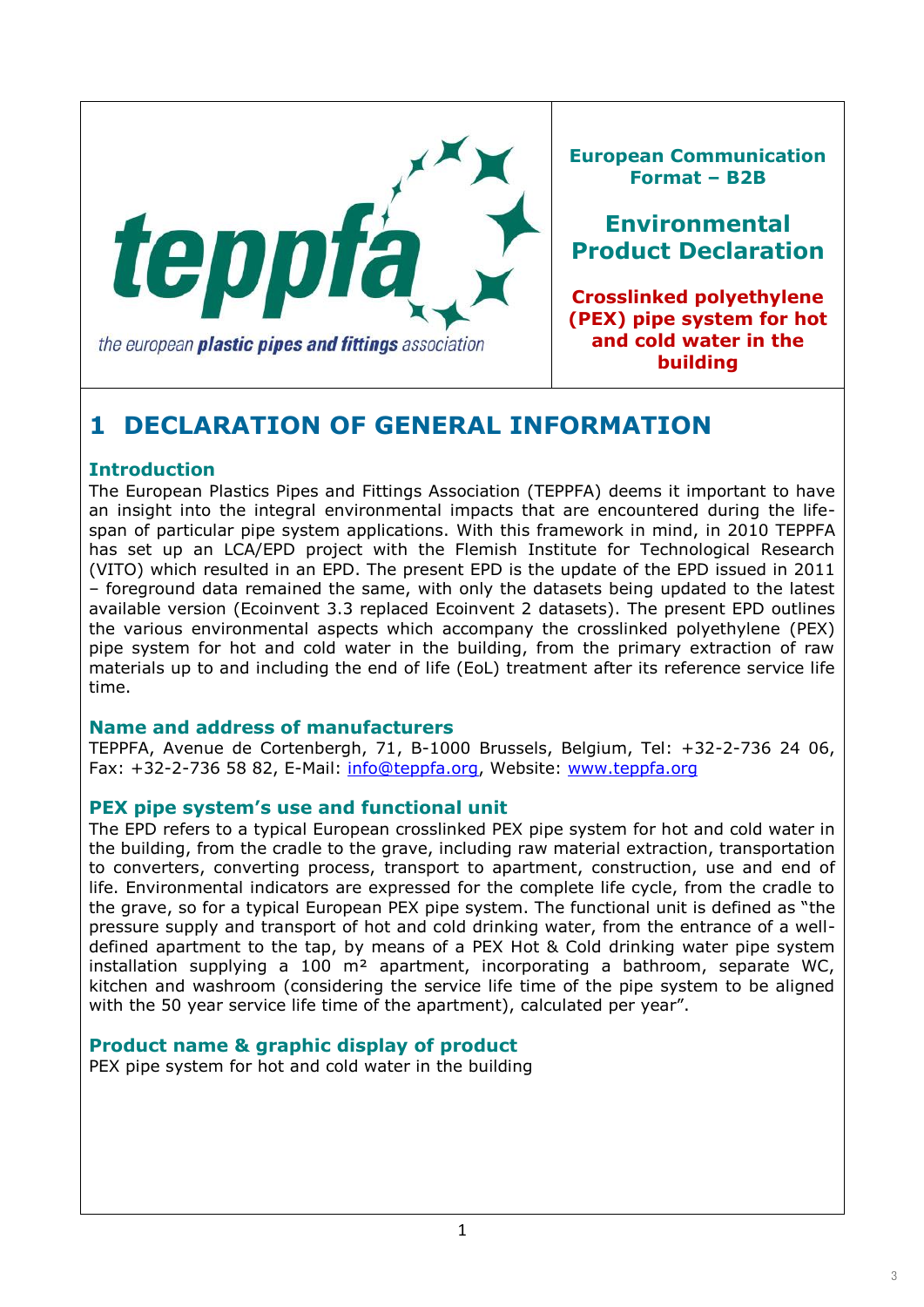

**European Communication Format – B2B**

**Environmental Product Declaration**

**Crosslinked polyethylene (PEX) pipe system for hot and cold water in the building**

# **1 DECLARATION OF GENERAL INFORMATION**

### **Introduction**

The European Plastics Pipes and Fittings Association (TEPPFA) deems it important to have an insight into the integral environmental impacts that are encountered during the lifespan of particular pipe system applications. With this framework in mind, in 2010 TEPPFA has set up an LCA/EPD project with the Flemish Institute for Technological Research (VITO) which resulted in an EPD. The present EPD is the update of the EPD issued in 2011 – foreground data remained the same, with only the datasets being updated to the latest available version (Ecoinvent 3.3 replaced Ecoinvent 2 datasets). The present EPD outlines the various environmental aspects which accompany the crosslinked polyethylene (PEX) pipe system for hot and cold water in the building, from the primary extraction of raw materials up to and including the end of life (EoL) treatment after its reference service life time.

#### **Name and address of manufacturers**

TEPPFA, Avenue de Cortenbergh, 71, B-1000 Brussels, Belgium, Tel: +32-2-736 24 06, Fax: +32-2-736 58 82, E-Mail: info@teppfa.org, Website: www.teppfa.org

#### **PEX pipe system's use and functional unit**

The EPD refers to a typical European crosslinked PEX pipe system for hot and cold water in the building, from the cradle to the grave, including raw material extraction, transportation to converters, converting process, transport to apartment, construction, use and end of life. Environmental indicators are expressed for the complete life cycle, from the cradle to the grave, so for a typical European PEX pipe system. The functional unit is defined as "the pressure supply and transport of hot and cold drinking water, from the entrance of a welldefined apartment to the tap, by means of a PEX Hot & Cold drinking water pipe system installation supplying a 100  $m<sup>2</sup>$  apartment, incorporating a bathroom, separate WC, kitchen and washroom (considering the service life time of the pipe system to be aligned with the 50 year service life time of the apartment), calculated per year".

### **Product name & graphic display of product**

PEX pipe system for hot and cold water in the building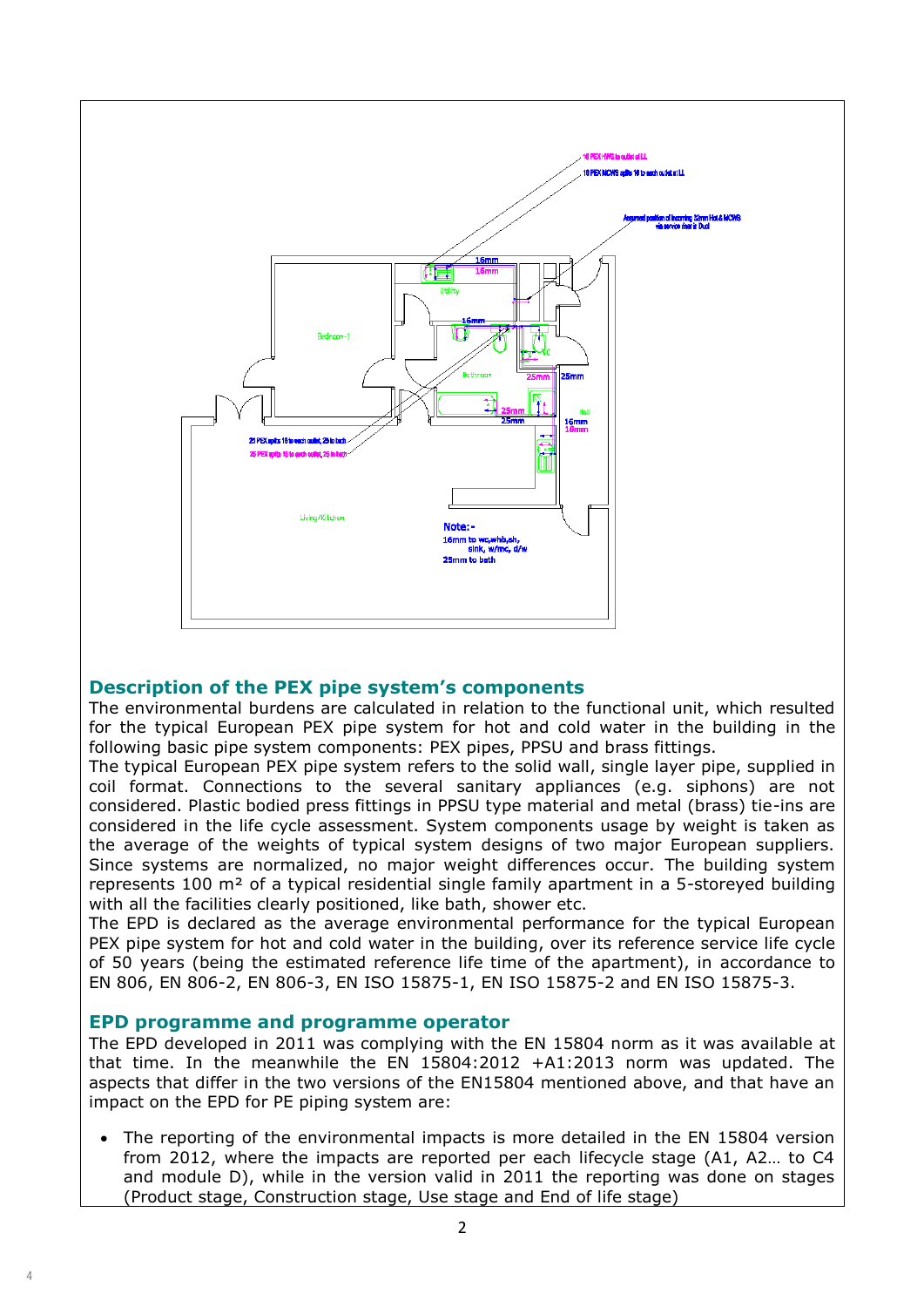

#### **Description of the PEX pipe system's components**

The environmental burdens are calculated in relation to the functional unit, which resulted for the typical European PEX pipe system for hot and cold water in the building in the following basic pipe system components: PEX pipes, PPSU and brass fittings.

The typical European PEX pipe system refers to the solid wall, single layer pipe, supplied in coil format. Connections to the several sanitary appliances (e.g. siphons) are not considered. Plastic bodied press fittings in PPSU type material and metal (brass) tie-ins are considered in the life cycle assessment. System components usage by weight is taken as the average of the weights of typical system designs of two major European suppliers. Since systems are normalized, no major weight differences occur. The building system represents 100 m² of a typical residential single family apartment in a 5-storeyed building with all the facilities clearly positioned, like bath, shower etc.

The EPD is declared as the average environmental performance for the typical European PEX pipe system for hot and cold water in the building, over its reference service life cycle of 50 years (being the estimated reference life time of the apartment), in accordance to EN 806, EN 806-2, EN 806-3, EN ISO 15875-1, EN ISO 15875-2 and EN ISO 15875-3.

#### **EPD programme and programme operator**

The EPD developed in 2011 was complying with the EN 15804 norm as it was available at that time. In the meanwhile the EN 15804:2012 +A1:2013 norm was updated. The aspects that differ in the two versions of the EN15804 mentioned above, and that have an impact on the EPD for PE piping system are:

 The reporting of the environmental impacts is more detailed in the EN 15804 version from 2012, where the impacts are reported per each lifecycle stage (A1, A2… to C4 and module D), while in the version valid in 2011 the reporting was done on stages (Product stage, Construction stage, Use stage and End of life stage)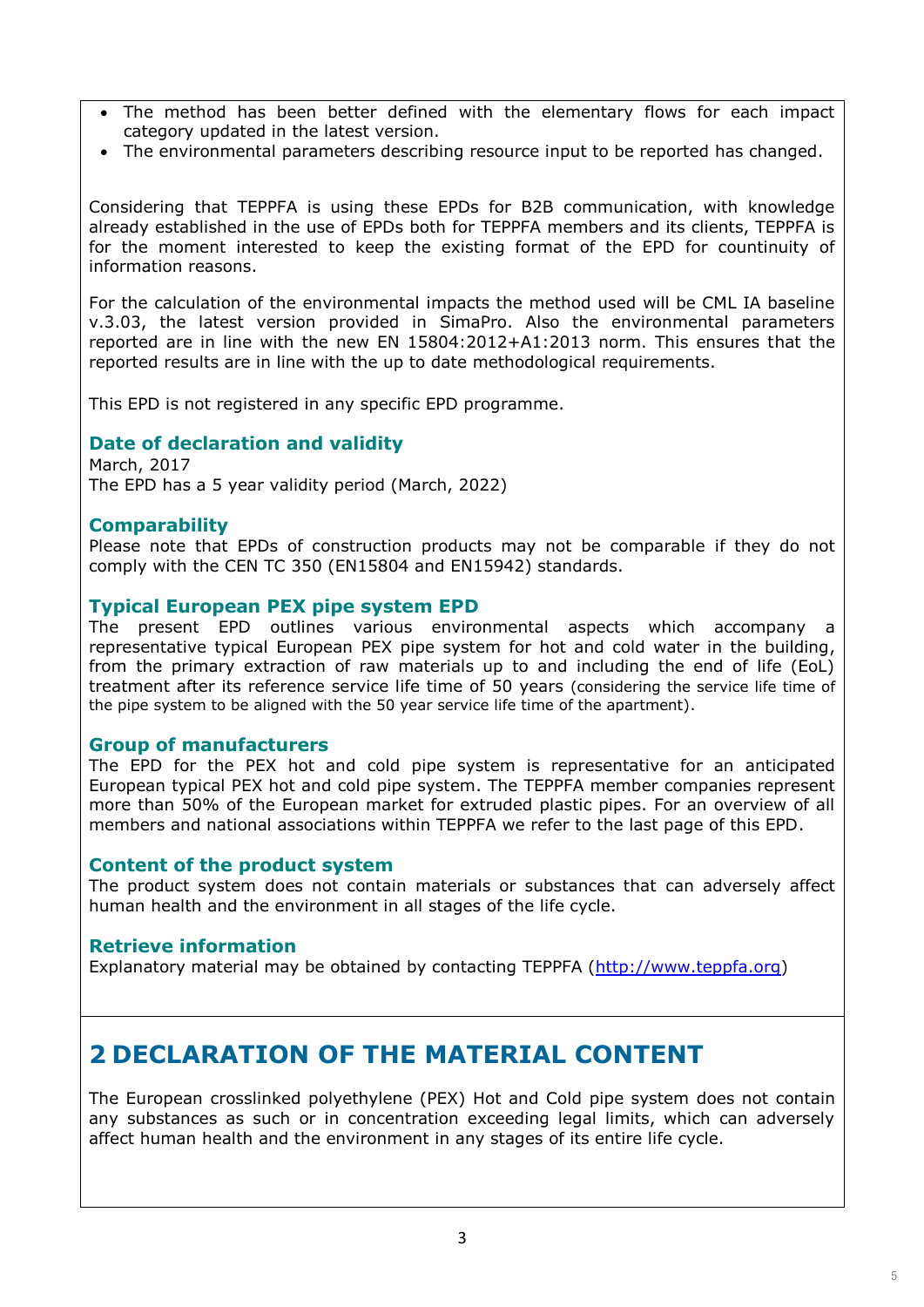- The method has been better defined with the elementary flows for each impact category updated in the latest version.
- The environmental parameters describing resource input to be reported has changed.

Considering that TEPPFA is using these EPDs for B2B communication, with knowledge already established in the use of EPDs both for TEPPFA members and its clients, TEPPFA is for the moment interested to keep the existing format of the EPD for countinuity of information reasons.

For the calculation of the environmental impacts the method used will be CML IA baseline v.3.03, the latest version provided in SimaPro. Also the environmental parameters reported are in line with the new EN 15804:2012+A1:2013 norm. This ensures that the reported results are in line with the up to date methodological requirements.

This EPD is not registered in any specific EPD programme.

#### **Date of declaration and validity**

March, 2017 The EPD has a 5 year validity period (March, 2022)

#### **Comparability**

Please note that EPDs of construction products may not be comparable if they do not comply with the CEN TC 350 (EN15804 and EN15942) standards.

#### **Typical European PEX pipe system EPD**

The present EPD outlines various environmental aspects which accompany a representative typical European PEX pipe system for hot and cold water in the building, from the primary extraction of raw materials up to and including the end of life (EoL) treatment after its reference service life time of 50 years (considering the service life time of the pipe system to be aligned with the 50 year service life time of the apartment).

#### **Group of manufacturers**

The EPD for the PEX hot and cold pipe system is representative for an anticipated European typical PEX hot and cold pipe system. The TEPPFA member companies represent more than 50% of the European market for extruded plastic pipes. For an overview of all members and national associations within TEPPFA we refer to the last page of this EPD.

#### **Content of the product system**

The product system does not contain materials or substances that can adversely affect human health and the environment in all stages of the life cycle.

#### **Retrieve information**

Explanatory material may be obtained by contacting TEPPFA (http://www.teppfa.org)

# **2 DECLARATION OF THE MATERIAL CONTENT**

The European crosslinked polyethylene (PEX) Hot and Cold pipe system does not contain any substances as such or in concentration exceeding legal limits, which can adversely affect human health and the environment in any stages of its entire life cycle.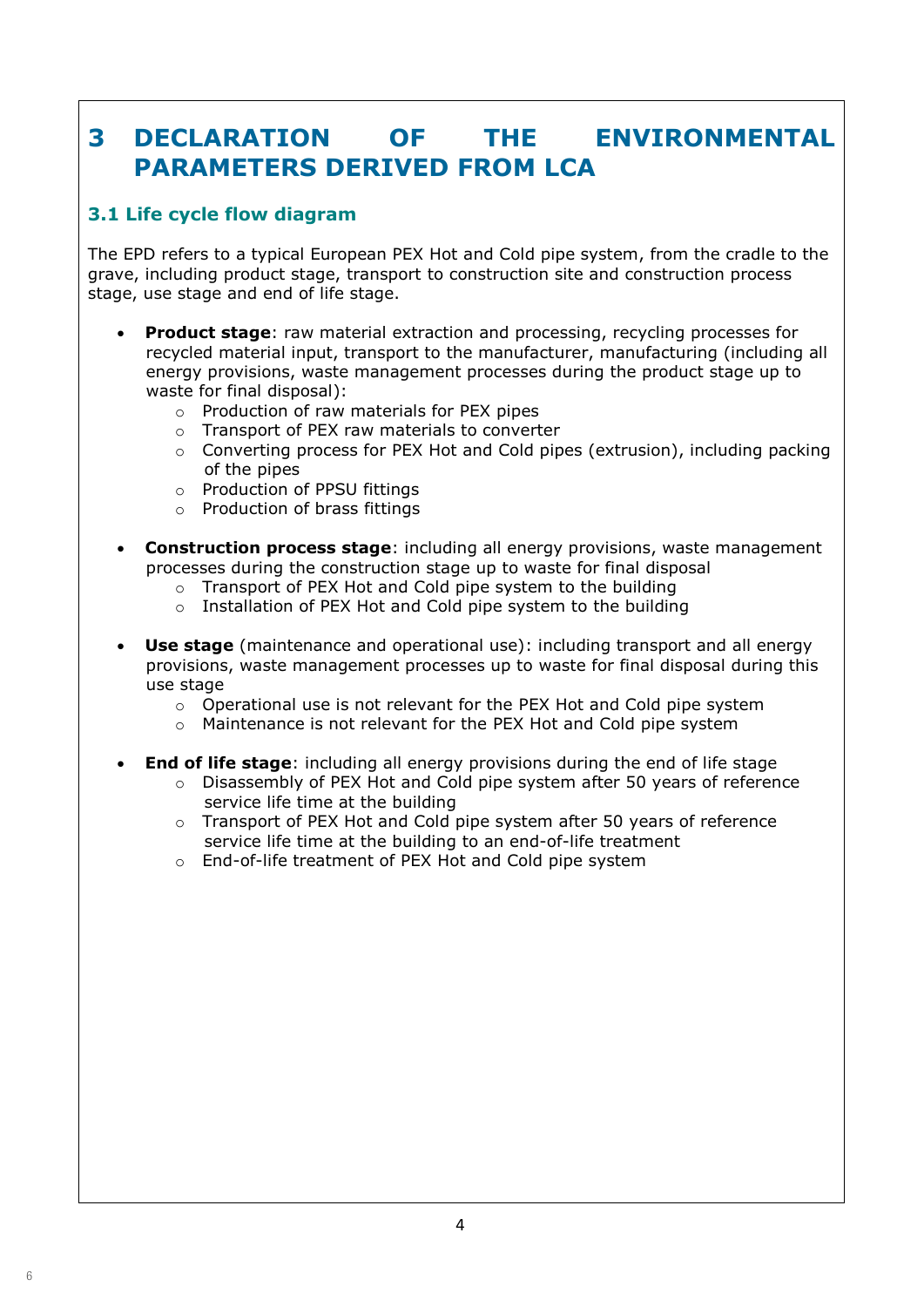# **3 DECLARATION OF THE ENVIRONMENTAL PARAMETERS DERIVED FROM LCA**

# **3.1 Life cycle flow diagram**

The EPD refers to a typical European PEX Hot and Cold pipe system, from the cradle to the grave, including product stage, transport to construction site and construction process stage, use stage and end of life stage.

- **Product stage**: raw material extraction and processing, recycling processes for recycled material input, transport to the manufacturer, manufacturing (including all energy provisions, waste management processes during the product stage up to waste for final disposal):
	- o Production of raw materials for PEX pipes
	- o Transport of PEX raw materials to converter
	- $\circ$  Converting process for PEX Hot and Cold pipes (extrusion), including packing of the pipes
	- o Production of PPSU fittings
	- o Production of brass fittings
- **Construction process stage**: including all energy provisions, waste management processes during the construction stage up to waste for final disposal
	- o Transport of PEX Hot and Cold pipe system to the building
	- o Installation of PEX Hot and Cold pipe system to the building
- **Use stage** (maintenance and operational use): including transport and all energy provisions, waste management processes up to waste for final disposal during this use stage
	- o Operational use is not relevant for the PEX Hot and Cold pipe system
	- $\circ$  Maintenance is not relevant for the PEX Hot and Cold pipe system
- **End of life stage**: including all energy provisions during the end of life stage
	- $\circ$  Disassembly of PEX Hot and Cold pipe system after 50 years of reference service life time at the building
	- o Transport of PEX Hot and Cold pipe system after 50 years of reference service life time at the building to an end-of-life treatment
	- o End-of-life treatment of PEX Hot and Cold pipe system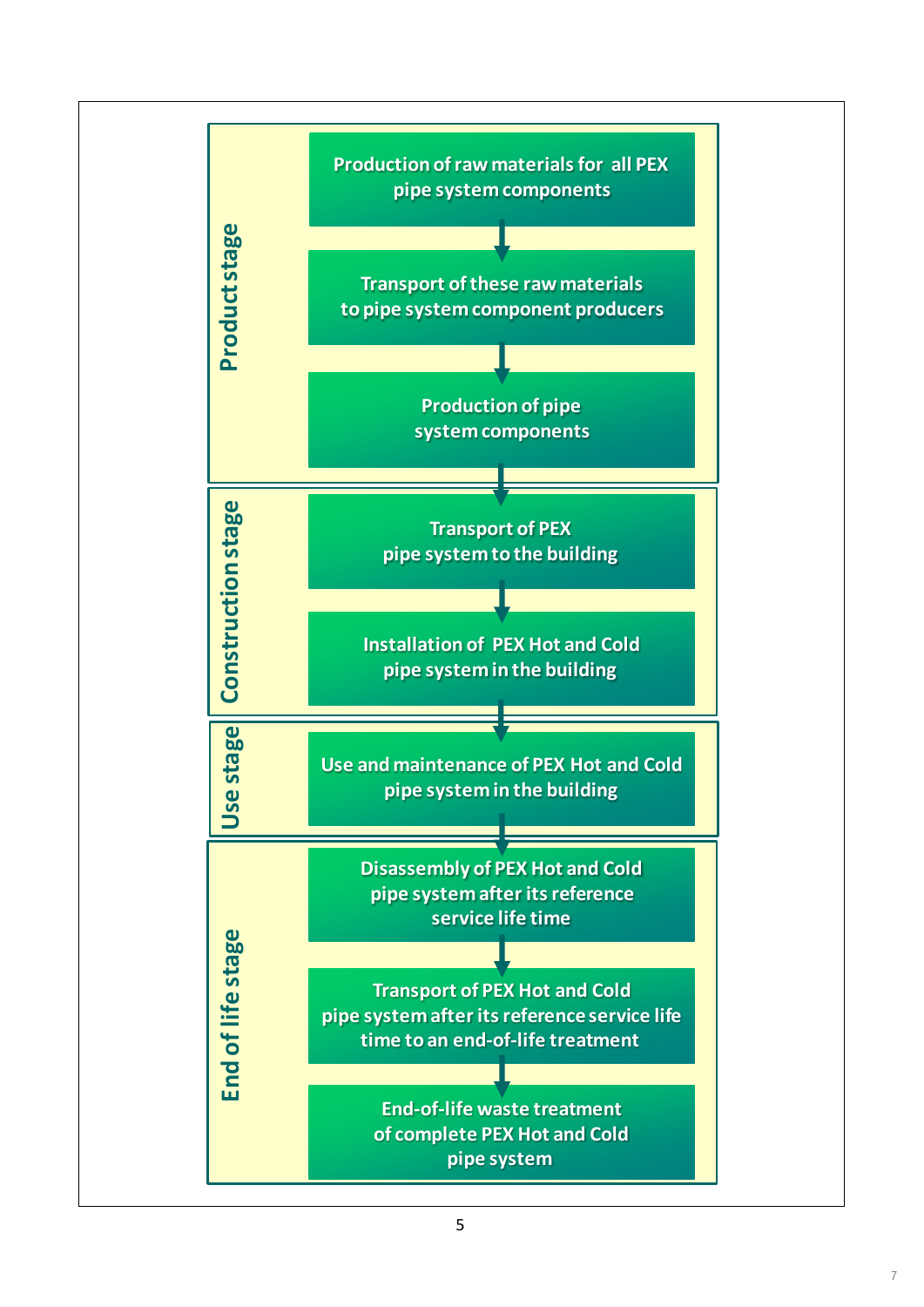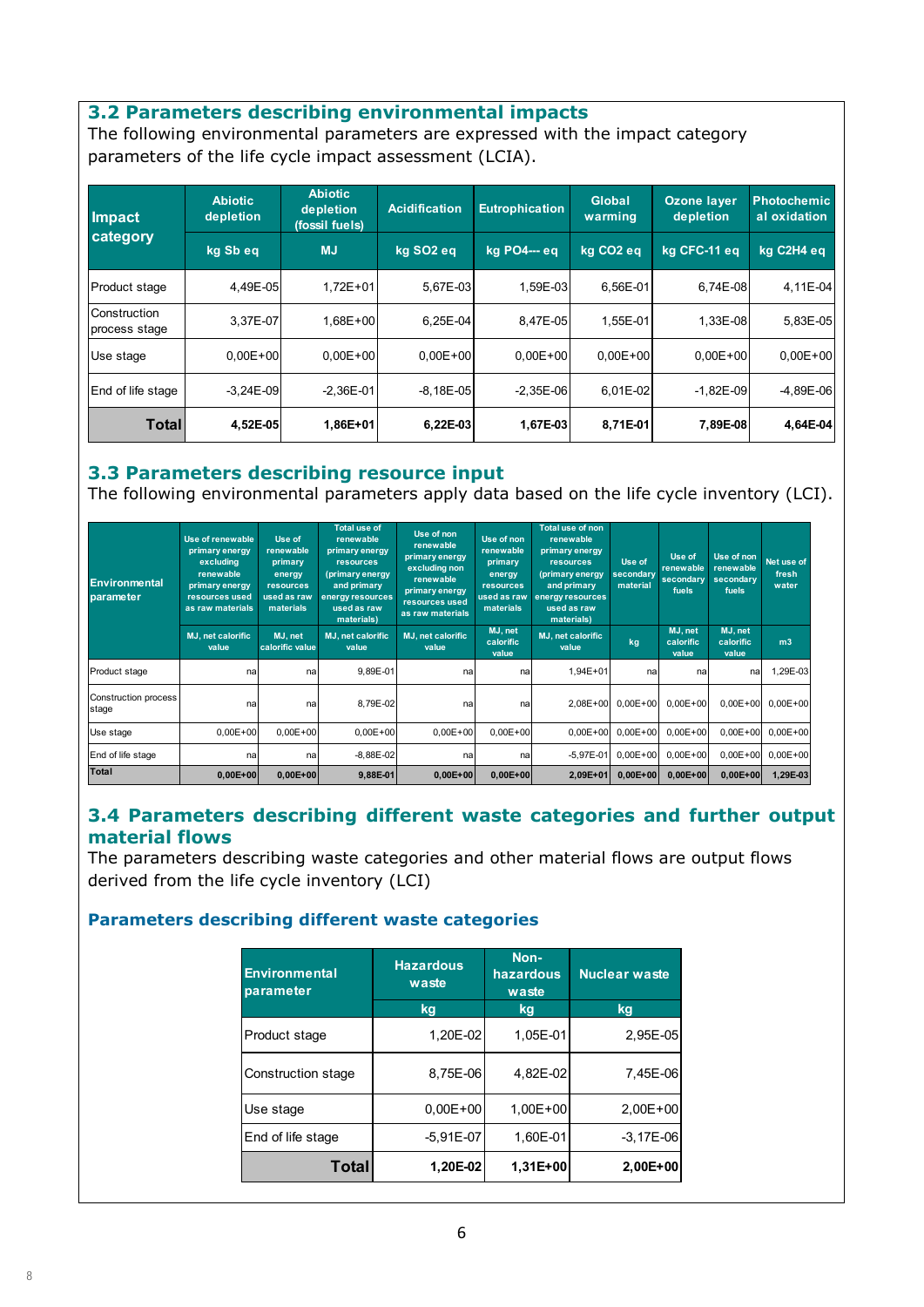#### **3.2 Parameters describing environmental impacts**

The following environmental parameters are expressed with the impact category parameters of the life cycle impact assessment (LCIA).

| Impact                               | <b>Abiotic</b><br>depletion | <b>Abiotic</b><br>depletion<br>(fossil fuels) | <b>Acidification</b>  | <b>Eutrophication</b> | Global<br>warming     | <b>Ozone layer</b><br>depletion | <b>Photochemic</b><br>al oxidation |
|--------------------------------------|-----------------------------|-----------------------------------------------|-----------------------|-----------------------|-----------------------|---------------------------------|------------------------------------|
| category                             | kg Sb eq                    | <b>MJ</b>                                     | kg SO <sub>2</sub> eg | kg PO4--- eg          | kg CO <sub>2</sub> eg | kg CFC-11 eg                    | kg C2H4 eg                         |
| Product stage                        | 4,49E-05                    | $1,72E+01$                                    | 5,67E-03              | 1,59E-03              | 6,56E-01              | 6,74E-08                        | 4,11E-04                           |
| <b>Construction</b><br>process stage | 3.37E-07                    | $1.68E + 00$                                  | 6.25E-04              | 8,47E-05              | 1.55E-01              | 1,33E-08                        | 5,83E-05                           |
| Use stage                            | $0.00E + 00$                | $0.00E + 00$                                  | $0.00E + 00$          | $0.00E + 00$          | $0.00E + 00$          | $0.00E + 00$                    | $0,00E + 00$                       |
| End of life stage                    | $-3.24E - 09$               | $-2.36E - 01$                                 | $-8.18E - 05$         | $-2.35E - 06$         | 6.01E-02              | $-1,82E-09$                     | $-4,89E-06$                        |
| Totall                               | 4,52E-05                    | 1,86E+01                                      | 6,22E-03              | 1,67E-03              | 8,71E-01              | 7,89E-08                        | 4,64E-04                           |

#### **3.3 Parameters describing resource input**

The following environmental parameters apply data based on the life cycle inventory (LCI).

| <b>Environmental</b><br>parameter | Use of renewable<br>primary energy<br>excluding<br>renewable<br>primary energy<br>resources used<br>as raw materials | Use of<br>renewable<br>primary<br>energy<br>resources<br>used as raw<br>materials | <b>Total use of</b><br>renewable<br>primary energy<br><b>resources</b><br>(primary energy<br>and primary<br>energy resources<br>used as raw<br>materials) | Use of non<br>renewable<br>primary energy<br>excluding non<br>renewable<br>primary energy<br>resources used<br>as raw materials | Use of non<br>renewable<br>primary<br>energy<br>resources<br>used as raw<br><b>materials</b> | <b>Total use of non</b><br>renewable<br>primary energy<br><b>resources</b><br>(primary energy<br>and primary<br>energy resources<br>used as raw<br>materials) | Use of<br>secondary<br>material | Use of<br>renewable<br>secondary<br>fuels | Use of non<br>renewable<br>secondary<br>fuels | Net use of<br>fresh<br>water |
|-----------------------------------|----------------------------------------------------------------------------------------------------------------------|-----------------------------------------------------------------------------------|-----------------------------------------------------------------------------------------------------------------------------------------------------------|---------------------------------------------------------------------------------------------------------------------------------|----------------------------------------------------------------------------------------------|---------------------------------------------------------------------------------------------------------------------------------------------------------------|---------------------------------|-------------------------------------------|-----------------------------------------------|------------------------------|
|                                   | MJ, net calorific<br>value                                                                                           | MJ. net<br>calorific value                                                        | MJ, net calorific<br>value                                                                                                                                | MJ, net calorific<br>value                                                                                                      | MJ, net<br>calorific<br>value                                                                | MJ, net calorific<br>value                                                                                                                                    | kg                              | MJ, net<br>calorific<br>value             | MJ, net<br>calorific<br>value                 | m <sub>3</sub>               |
| Product stage                     | nal                                                                                                                  | nal                                                                               | 9,89E-01                                                                                                                                                  | nal                                                                                                                             | nal                                                                                          | 1,94E+01                                                                                                                                                      | na                              | nal                                       | nal                                           | 1,29E-03                     |
| Construction process<br>stage     | na                                                                                                                   | na                                                                                | 8,79E-02                                                                                                                                                  | na                                                                                                                              | na                                                                                           | 2,08E+00                                                                                                                                                      | $0.00E + 00$                    | $0.00E + 00$                              | $0,00E+00$                                    | $0,00E+00$                   |
| Use stage                         | $0,00E + 00$                                                                                                         | $0.00E + 00$                                                                      | $0.00E + 00$                                                                                                                                              | $0.00E + 00$                                                                                                                    | $0,00E + 00$                                                                                 | $0.00E + 00$                                                                                                                                                  | $0.00E + 00$                    | $0.00E + 00$                              | $0.00E + 00$                                  | $0.00E + 00$                 |
| End of life stage                 | nal                                                                                                                  | nal                                                                               | $-8,88E-02$                                                                                                                                               | nal                                                                                                                             | na                                                                                           | $-5.97E - 01$                                                                                                                                                 | $0.00E + 00$                    | $0.00E + 00$                              | $0.00E + 00$                                  | $0.00E + 00$                 |
| Total                             | $0,00E+00$                                                                                                           | $0,00E+00$                                                                        | 9,88E-01                                                                                                                                                  | $0,00E+00$                                                                                                                      | $0,00E+00$                                                                                   | 2,09E+01                                                                                                                                                      | $0,00E+00$                      | $0.00E + 00$                              | $0,00E+00$                                    | 1,29E-03                     |

### **3.4 Parameters describing different waste categories and further output material flows**

The parameters describing waste categories and other material flows are output flows derived from the life cycle inventory (LCI)

#### **Parameters describing different waste categories**

| <b>Environmental</b><br>parameter | <b>Hazardous</b><br>waste | Non-<br>hazardous<br>waste | <b>Nuclear waste</b> |
|-----------------------------------|---------------------------|----------------------------|----------------------|
|                                   | kg                        | kg                         | kg                   |
| Product stage                     | 1,20E-02                  | 1.05E-01                   | 2,95E-05             |
| Construction stage                | 8,75E-06                  | 4.82E-02                   | 7.45E-06             |
| Use stage                         | $0.00E + 00$              | $1.00E + 00$               | $2.00E + 00$         |
| End of life stage                 | $-5.91E - 07$             | 1,60E-01                   | $-3.17E - 06$        |
| Total                             | 1,20E-02                  | 1.31E+00                   | 2,00E+00             |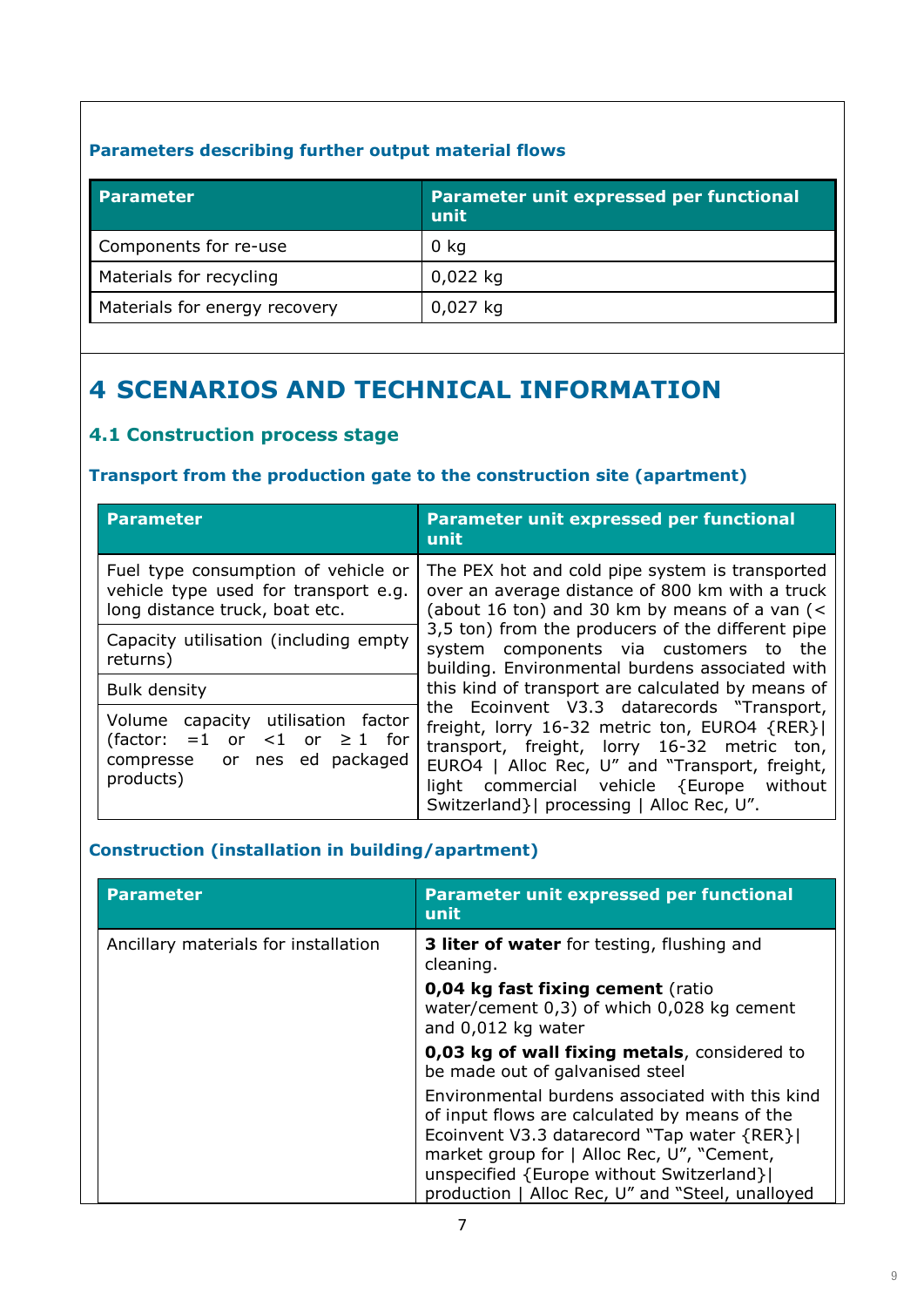## **Parameters describing further output material flows**

| <b>Parameter</b>              | Parameter unit expressed per functional<br>unit |  |  |  |
|-------------------------------|-------------------------------------------------|--|--|--|
| Components for re-use         | 0 <sub>kq</sub>                                 |  |  |  |
| Materials for recycling       | $0,022$ kg                                      |  |  |  |
| Materials for energy recovery | $0,027$ kg                                      |  |  |  |

# **4 SCENARIOS AND TECHNICAL INFORMATION**

# **4.1 Construction process stage**

### **Transport from the production gate to the construction site (apartment)**

| <b>Parameter</b>                                                                                                        | Parameter unit expressed per functional<br>unit                                                                                                                                                                                                                                         |  |  |  |
|-------------------------------------------------------------------------------------------------------------------------|-----------------------------------------------------------------------------------------------------------------------------------------------------------------------------------------------------------------------------------------------------------------------------------------|--|--|--|
| Fuel type consumption of vehicle or<br>vehicle type used for transport e.g.<br>long distance truck, boat etc.           | The PEX hot and cold pipe system is transported<br>over an average distance of 800 km with a truck<br>(about 16 ton) and 30 km by means of a van (<                                                                                                                                     |  |  |  |
| Capacity utilisation (including empty<br>returns)                                                                       | 3,5 ton) from the producers of the different pipe<br>system components via customers to the<br>building. Environmental burdens associated with                                                                                                                                          |  |  |  |
| <b>Bulk density</b>                                                                                                     | this kind of transport are calculated by means of                                                                                                                                                                                                                                       |  |  |  |
| Volume capacity utilisation factor<br>(factor: =1 or <1 or $\geq$ 1 for<br>nes ed packaged<br>compresse or<br>products) | the Ecoinvent V3.3 datarecords "Transport,<br>freight, lorry 16-32 metric ton, EURO4 {RER} <br>transport, freight, lorry 16-32 metric ton,<br>EURO4   Alloc Rec, U" and "Transport, freight,<br>light commercial vehicle {Europe without<br>Switzerland }   processing   Alloc Rec, U". |  |  |  |

## **Construction (installation in building/apartment)**

| <b>Parameter</b>                     | Parameter unit expressed per functional<br>unit                                                                                                                                                                                                                                                |
|--------------------------------------|------------------------------------------------------------------------------------------------------------------------------------------------------------------------------------------------------------------------------------------------------------------------------------------------|
| Ancillary materials for installation | <b>3 liter of water</b> for testing, flushing and<br>cleaning.                                                                                                                                                                                                                                 |
|                                      | 0,04 kg fast fixing cement (ratio<br>water/cement 0,3) of which 0,028 kg cement<br>and 0,012 kg water                                                                                                                                                                                          |
|                                      | 0,03 kg of wall fixing metals, considered to<br>be made out of galvanised steel                                                                                                                                                                                                                |
|                                      | Environmental burdens associated with this kind<br>of input flows are calculated by means of the<br>Ecoinvent V3.3 datarecord "Tap water {RER} <br>market group for   Alloc Rec, U", "Cement,<br>unspecified {Europe without Switzerland} <br>production   Alloc Rec, U" and "Steel, unalloyed |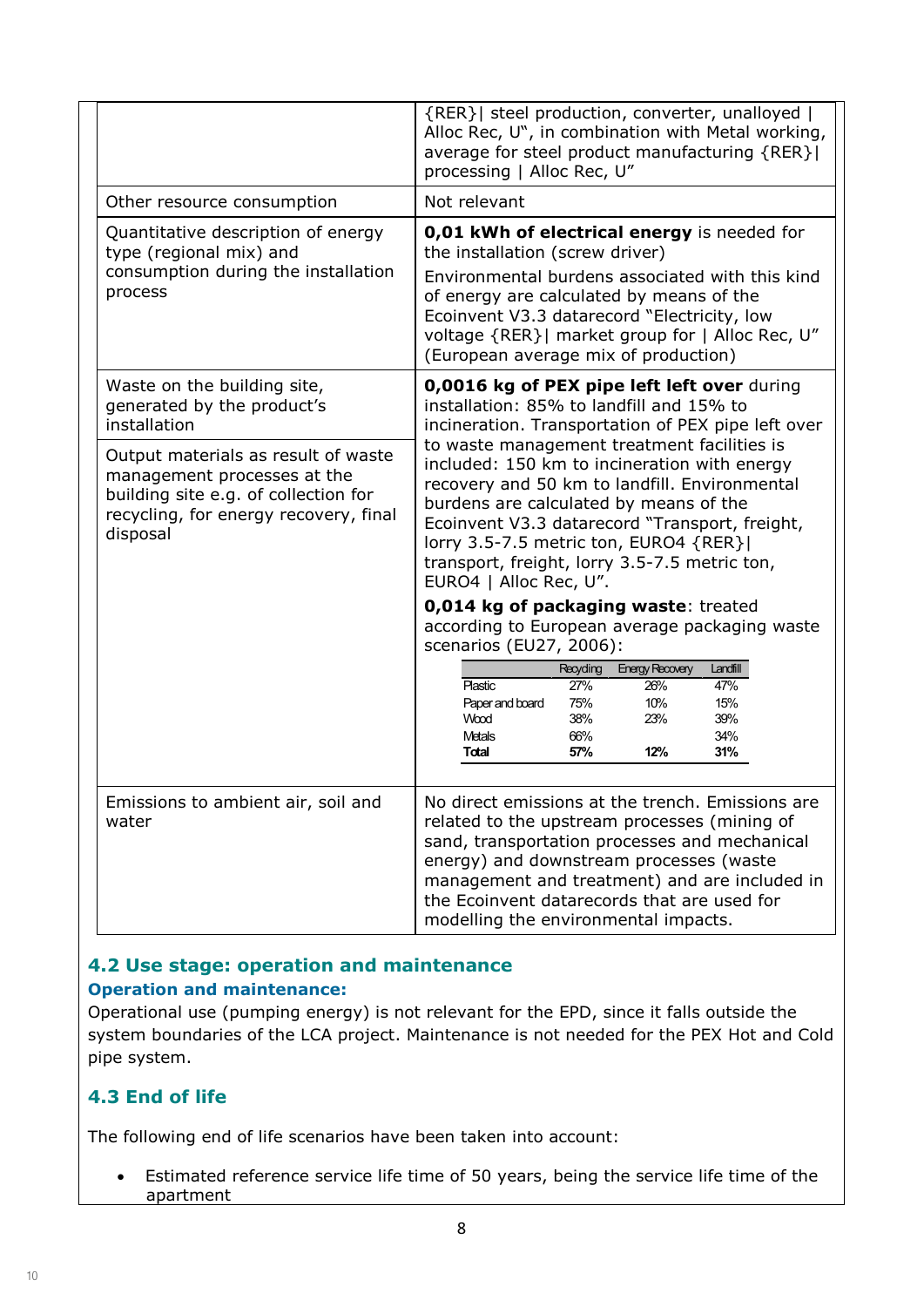|                                                                                                                                                                 | {RER}   steel production, converter, unalloyed  <br>Alloc Rec, U", in combination with Metal working,<br>average for steel product manufacturing {RER} <br>processing   Alloc Rec, U"                                                                                                                                                                         |  |  |  |  |
|-----------------------------------------------------------------------------------------------------------------------------------------------------------------|---------------------------------------------------------------------------------------------------------------------------------------------------------------------------------------------------------------------------------------------------------------------------------------------------------------------------------------------------------------|--|--|--|--|
| Other resource consumption                                                                                                                                      | Not relevant                                                                                                                                                                                                                                                                                                                                                  |  |  |  |  |
| Quantitative description of energy<br>type (regional mix) and<br>consumption during the installation<br>process                                                 | 0,01 kWh of electrical energy is needed for<br>the installation (screw driver)<br>Environmental burdens associated with this kind<br>of energy are calculated by means of the<br>Ecoinvent V3.3 datarecord "Electricity, low<br>voltage {RER}  market group for   Alloc Rec, U"<br>(European average mix of production)                                       |  |  |  |  |
| Waste on the building site,<br>generated by the product's<br>installation                                                                                       | 0,0016 kg of PEX pipe left left over during<br>installation: 85% to landfill and 15% to<br>incineration. Transportation of PEX pipe left over                                                                                                                                                                                                                 |  |  |  |  |
| Output materials as result of waste<br>management processes at the<br>building site e.g. of collection for<br>recycling, for energy recovery, final<br>disposal | to waste management treatment facilities is<br>included: 150 km to incineration with energy<br>recovery and 50 km to landfill. Environmental<br>burdens are calculated by means of the<br>Ecoinvent V3.3 datarecord "Transport, freight,<br>lorry 3.5-7.5 metric ton, EURO4 {RER} <br>transport, freight, lorry 3.5-7.5 metric ton,<br>EURO4   Alloc Rec, U". |  |  |  |  |
|                                                                                                                                                                 | 0,014 kg of packaging waste: treated<br>according to European average packaging waste<br>scenarios (EU27, 2006):<br><b>Energy Recovery</b><br>Recyding<br>Landfill<br>27%<br>26%<br>47%<br><b>Plastic</b><br>Paper and board<br>75%<br>10%<br>15%<br>Wood<br>38%<br>23%<br>39%<br>34%<br>66%<br>Metals<br>57%<br>12%<br>31%<br>Total                          |  |  |  |  |
| Emissions to ambient air, soil and<br>water                                                                                                                     | No direct emissions at the trench. Emissions are<br>related to the upstream processes (mining of<br>sand, transportation processes and mechanical<br>energy) and downstream processes (waste<br>management and treatment) and are included in<br>the Ecoinvent datarecords that are used for<br>modelling the environmental impacts.                          |  |  |  |  |

### **4.2 Use stage: operation and maintenance Operation and maintenance:**

Operational use (pumping energy) is not relevant for the EPD, since it falls outside the system boundaries of the LCA project. Maintenance is not needed for the PEX Hot and Cold pipe system.

# **4.3 End of life**

The following end of life scenarios have been taken into account:

 Estimated reference service life time of 50 years, being the service life time of the apartment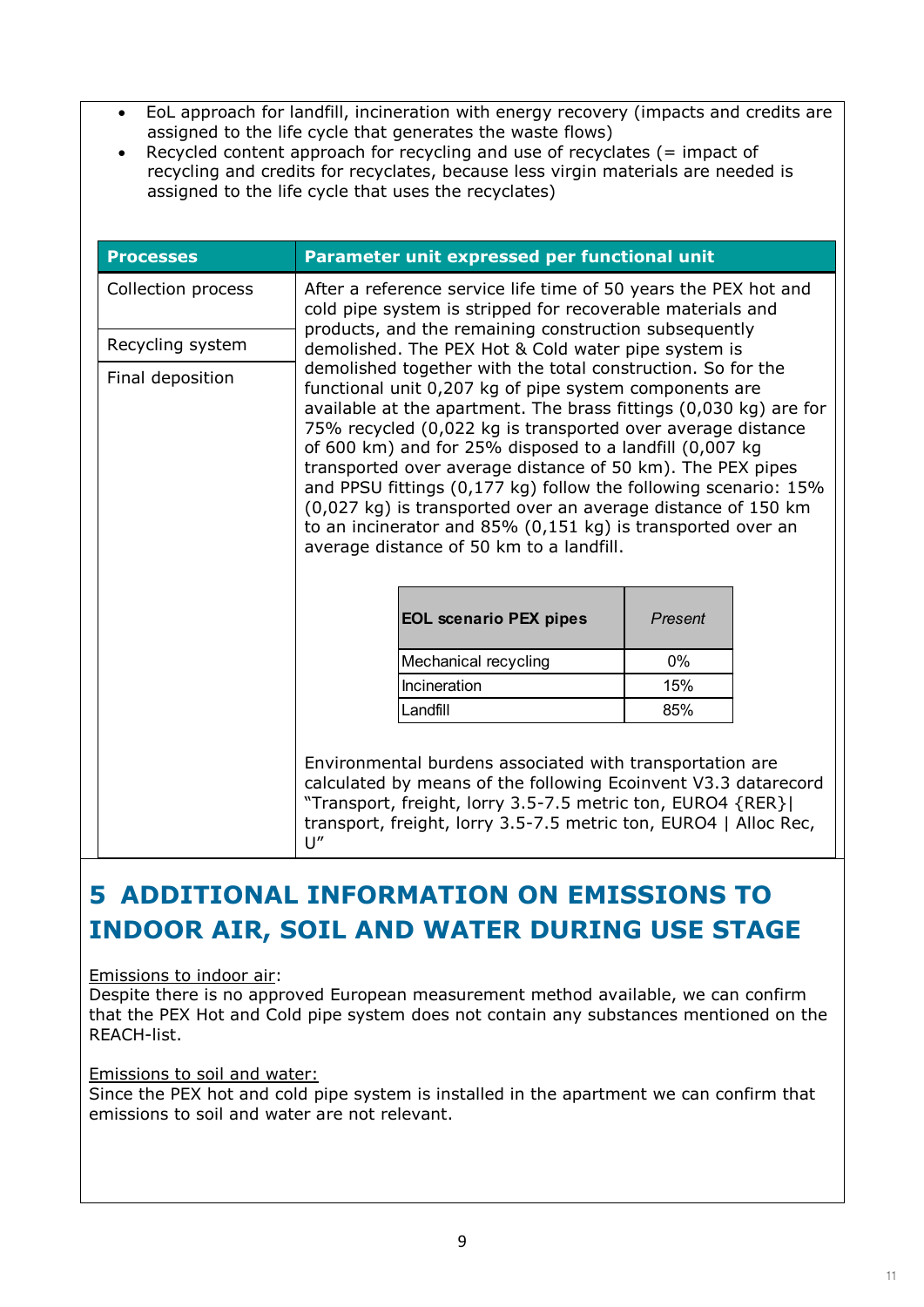- EoL approach for landfill, incineration with energy recovery (impacts and credits are assigned to the life cycle that generates the waste flows)
- Recycled content approach for recycling and use of recyclates  $($  = impact of recycling and credits for recyclates, because less virgin materials are needed is assigned to the life cycle that uses the recyclates)

| <b>Processes</b>   | Parameter unit expressed per functional unit                                                                                                                                                                                                                         |                                                                                                                                                                                                                                                                                                                                                                                                                                                                                                                                                                                                 |  |  |  |  |
|--------------------|----------------------------------------------------------------------------------------------------------------------------------------------------------------------------------------------------------------------------------------------------------------------|-------------------------------------------------------------------------------------------------------------------------------------------------------------------------------------------------------------------------------------------------------------------------------------------------------------------------------------------------------------------------------------------------------------------------------------------------------------------------------------------------------------------------------------------------------------------------------------------------|--|--|--|--|
| Collection process | After a reference service life time of 50 years the PEX hot and<br>cold pipe system is stripped for recoverable materials and<br>products, and the remaining construction subsequently<br>demolished. The PEX Hot & Cold water pipe system is                        |                                                                                                                                                                                                                                                                                                                                                                                                                                                                                                                                                                                                 |  |  |  |  |
| Recycling system   |                                                                                                                                                                                                                                                                      |                                                                                                                                                                                                                                                                                                                                                                                                                                                                                                                                                                                                 |  |  |  |  |
| Final deposition   | average distance of 50 km to a landfill.<br><b>EOL scenario PEX pipes</b>                                                                                                                                                                                            | demolished together with the total construction. So for the<br>functional unit 0,207 kg of pipe system components are<br>available at the apartment. The brass fittings (0,030 kg) are for<br>75% recycled (0,022 kg is transported over average distance<br>of 600 km) and for 25% disposed to a landfill (0,007 kg<br>transported over average distance of 50 km). The PEX pipes<br>and PPSU fittings (0,177 kg) follow the following scenario: 15%<br>(0,027 kg) is transported over an average distance of 150 km<br>to an incinerator and 85% (0,151 kg) is transported over an<br>Present |  |  |  |  |
|                    | Mechanical recycling                                                                                                                                                                                                                                                 | $0\%$                                                                                                                                                                                                                                                                                                                                                                                                                                                                                                                                                                                           |  |  |  |  |
|                    | Incineration                                                                                                                                                                                                                                                         | 15%                                                                                                                                                                                                                                                                                                                                                                                                                                                                                                                                                                                             |  |  |  |  |
|                    | Landfill                                                                                                                                                                                                                                                             | 85%                                                                                                                                                                                                                                                                                                                                                                                                                                                                                                                                                                                             |  |  |  |  |
|                    | Environmental burdens associated with transportation are<br>calculated by means of the following Ecoinvent V3.3 datarecord<br>"Transport, freight, lorry 3.5-7.5 metric ton, EURO4 {RER} <br>transport, freight, lorry 3.5-7.5 metric ton, EURO4   Alloc Rec,<br>U'' |                                                                                                                                                                                                                                                                                                                                                                                                                                                                                                                                                                                                 |  |  |  |  |

# **5 ADDITIONAL INFORMATION ON EMISSIONS TO INDOOR AIR, SOIL AND WATER DURING USE STAGE**

#### Emissions to indoor air:

Despite there is no approved European measurement method available, we can confirm that the PEX Hot and Cold pipe system does not contain any substances mentioned on the REACH-list.

#### Emissions to soil and water:

Since the PEX hot and cold pipe system is installed in the apartment we can confirm that emissions to soil and water are not relevant.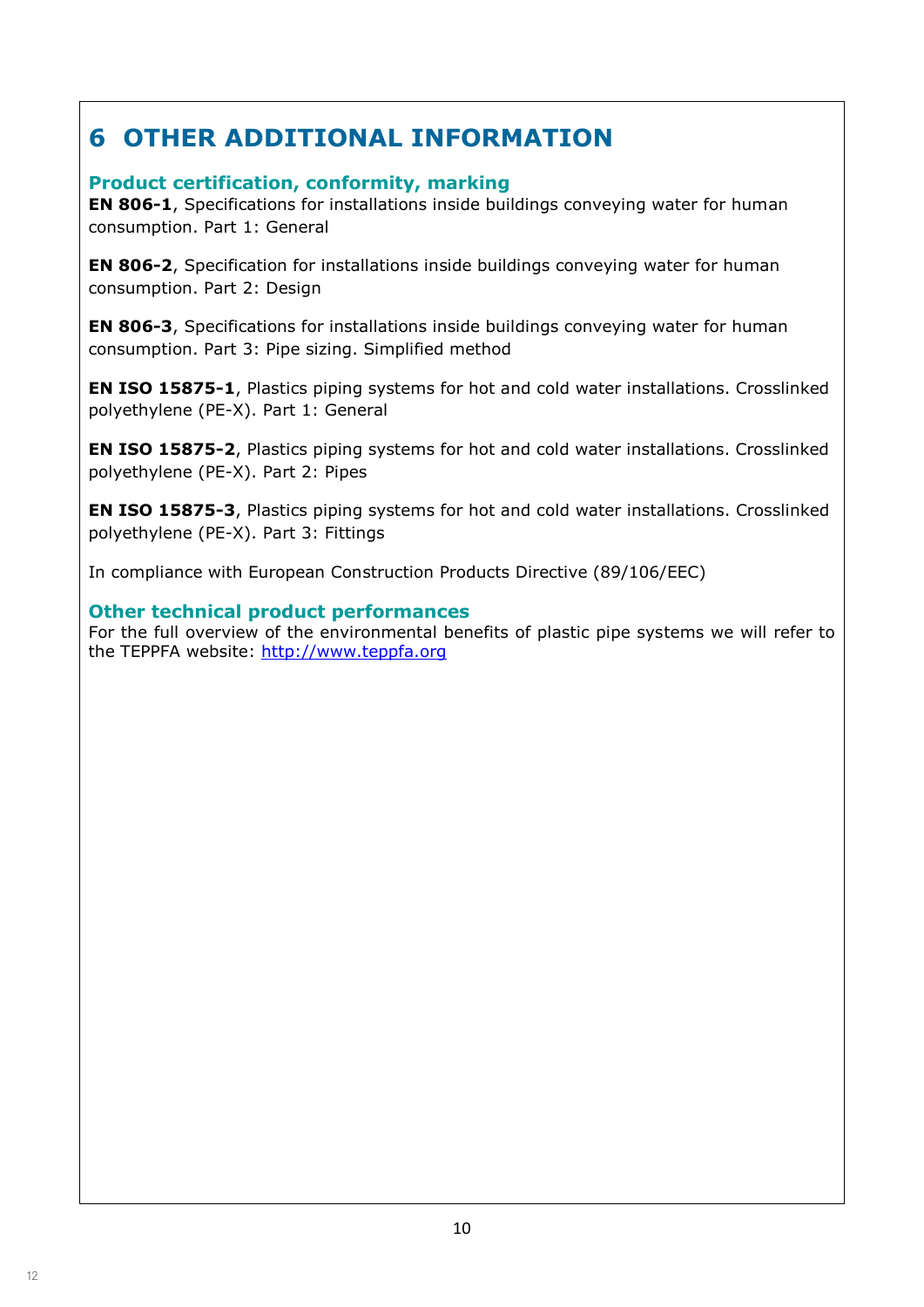# **6 OTHER ADDITIONAL INFORMATION**

## **Product certification, conformity, marking**

**EN 806-1**, Specifications for installations inside buildings conveying water for human consumption. Part 1: General

**EN 806-2**, Specification for installations inside buildings conveying water for human consumption. Part 2: Design

**EN 806-3**, Specifications for installations inside buildings conveying water for human consumption. Part 3: Pipe sizing. Simplified method

**EN ISO 15875-1**, Plastics piping systems for hot and cold water installations. Crosslinked polyethylene (PE-X). Part 1: General

**EN ISO 15875-2**, Plastics piping systems for hot and cold water installations. Crosslinked polyethylene (PE-X). Part 2: Pipes

**EN ISO 15875-3**, Plastics piping systems for hot and cold water installations. Crosslinked polyethylene (PE-X). Part 3: Fittings

In compliance with European Construction Products Directive (89/106/EEC)

### **Other technical product performances**

For the full overview of the environmental benefits of plastic pipe systems we will refer to the TEPPFA website: http://www.teppfa.org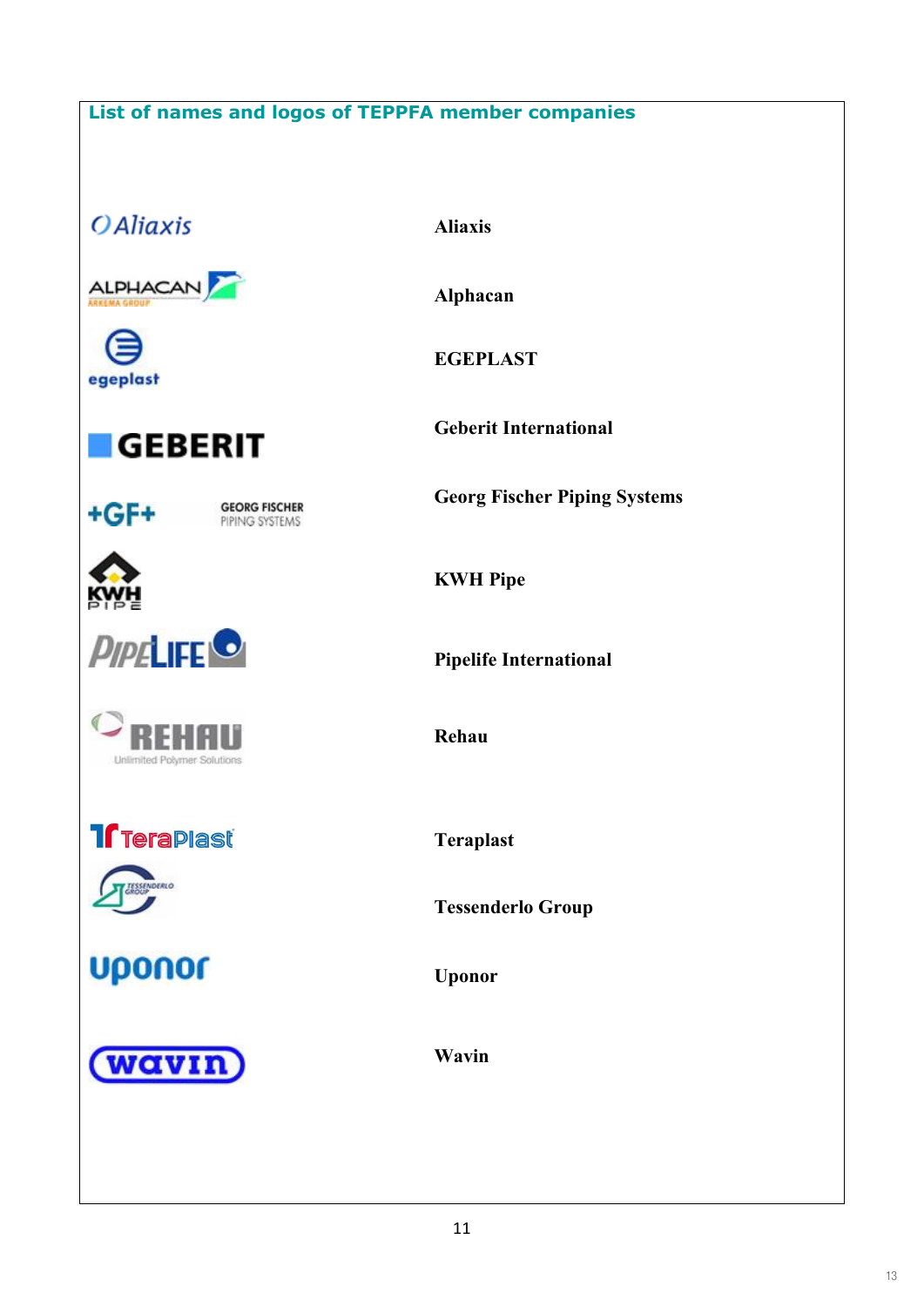## **List of names and logos of TEPPFA member companies**

**OAliaxis** 

ALPHACAN

egeplast



+GF+

**GEORG FISCHER** PIPING SYSTEMS







**Treraplast** 



**Uponor** 

(wavin

**Aliaxis**

**Alphacan**

**EGEPLAST**

**Geberit International**

**Georg Fischer Piping Systems**

**KWH Pipe**

**Pipelife International**

**Rehau**

**Teraplast**

**Tessenderlo Group**

**Uponor**

**Wavin**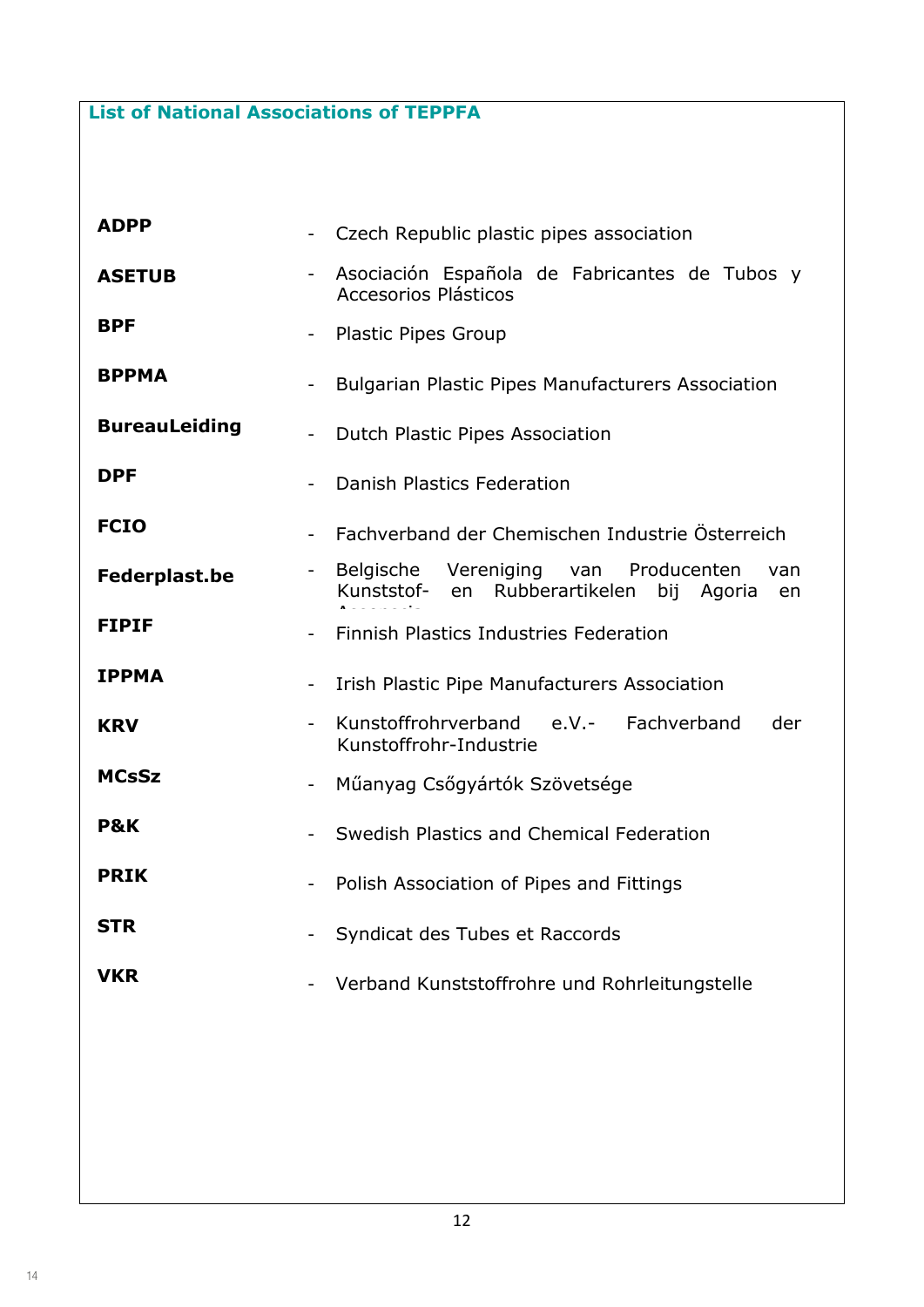**List of National Associations of TEPPFA** 

| <b>ADPP</b>          |                          | Czech Republic plastic pipes association                                                                  |
|----------------------|--------------------------|-----------------------------------------------------------------------------------------------------------|
| <b>ASETUB</b>        |                          | Asociación Española de Fabricantes de Tubos y<br>Accesorios Plásticos                                     |
| <b>BPF</b>           | $\overline{\phantom{a}}$ | <b>Plastic Pipes Group</b>                                                                                |
| <b>BPPMA</b>         |                          | <b>Bulgarian Plastic Pipes Manufacturers Association</b>                                                  |
| <b>BureauLeiding</b> |                          | Dutch Plastic Pipes Association                                                                           |
| <b>DPF</b>           |                          | Danish Plastics Federation                                                                                |
| <b>FCIO</b>          |                          | Fachverband der Chemischen Industrie Österreich                                                           |
| <b>Federplast.be</b> | $-$                      | Producenten<br>Belgische Vereniging<br>van<br>van<br>en Rubberartikelen<br>Kunststof-<br>bij Agoria<br>en |
| <b>FIPIF</b>         |                          | Finnish Plastics Industries Federation                                                                    |
| <b>IPPMA</b>         |                          | Irish Plastic Pipe Manufacturers Association                                                              |
| <b>KRV</b>           |                          | Kunstoffrohrverband<br>e.V.- Fachverband<br>der<br>Kunstoffrohr-Industrie                                 |
| <b>MCsSz</b>         |                          | Műanyag Csőgyártók Szövetsége                                                                             |
| <b>P&amp;K</b>       |                          | Swedish Plastics and Chemical Federation                                                                  |
| <b>PRIK</b>          | -                        | Polish Association of Pipes and Fittings                                                                  |
| <b>STR</b>           |                          | Syndicat des Tubes et Raccords                                                                            |
| <b>VKR</b>           |                          | Verband Kunststoffrohre und Rohrleitungstelle                                                             |
|                      |                          |                                                                                                           |
|                      |                          |                                                                                                           |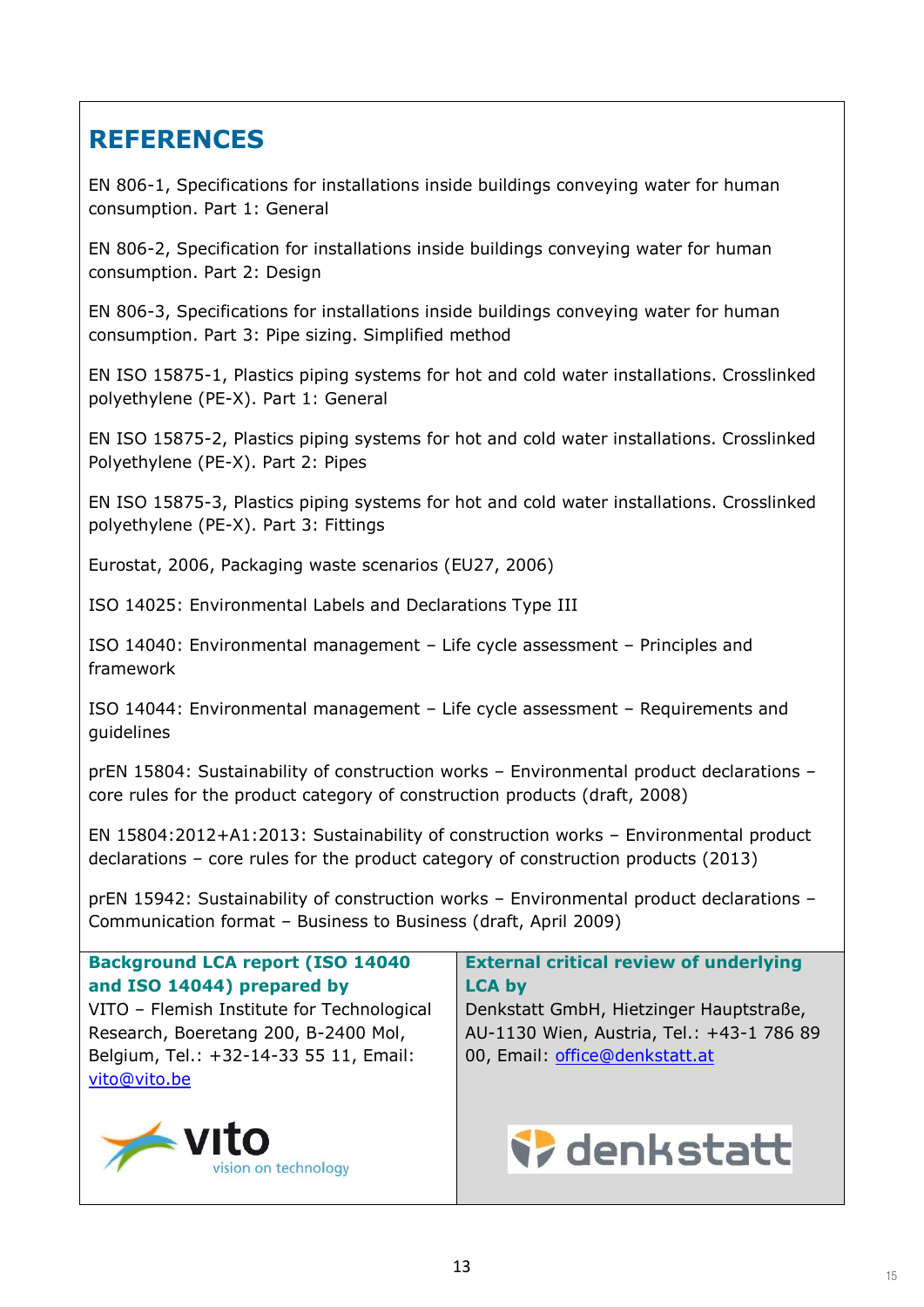# **REFERENCES**

EN 806-1, Specifications for installations inside buildings conveying water for human consumption. Part 1: General

EN 806-2, Specification for installations inside buildings conveying water for human consumption. Part 2: Design

EN 806-3, Specifications for installations inside buildings conveying water for human consumption. Part 3: Pipe sizing. Simplified method

EN ISO 15875-1, Plastics piping systems for hot and cold water installations. Crosslinked polyethylene (PE-X). Part 1: General

EN ISO 15875-2, Plastics piping systems for hot and cold water installations. Crosslinked Polyethylene (PE-X). Part 2: Pipes

EN ISO 15875-3, Plastics piping systems for hot and cold water installations. Crosslinked polyethylene (PE-X). Part 3: Fittings

Eurostat, 2006, Packaging waste scenarios (EU27, 2006)

ISO 14025: Environmental Labels and Declarations Type III

ISO 14040: Environmental management – Life cycle assessment – Principles and framework

ISO 14044: Environmental management – Life cycle assessment – Requirements and guidelines

prEN 15804: Sustainability of construction works – Environmental product declarations – core rules for the product category of construction products (draft, 2008)

EN 15804:2012+A1:2013: Sustainability of construction works – Environmental product declarations – core rules for the product category of construction products (2013)

prEN 15942: Sustainability of construction works – Environmental product declarations – Communication format – Business to Business (draft, April 2009)

**Background LCA report (ISO 14040 and ISO 14044) prepared by**

VITO – Flemish Institute for Technological Research, Boeretang 200, B-2400 Mol, Belgium, Tel.: +32-14-33 55 11, Email: vito@vito.be



**External critical review of underlying LCA by**

Denkstatt GmbH, Hietzinger Hauptstraße, AU-1130 Wien, Austria, Tel.: +43-1 786 89 00, Email: office@denkstatt.at